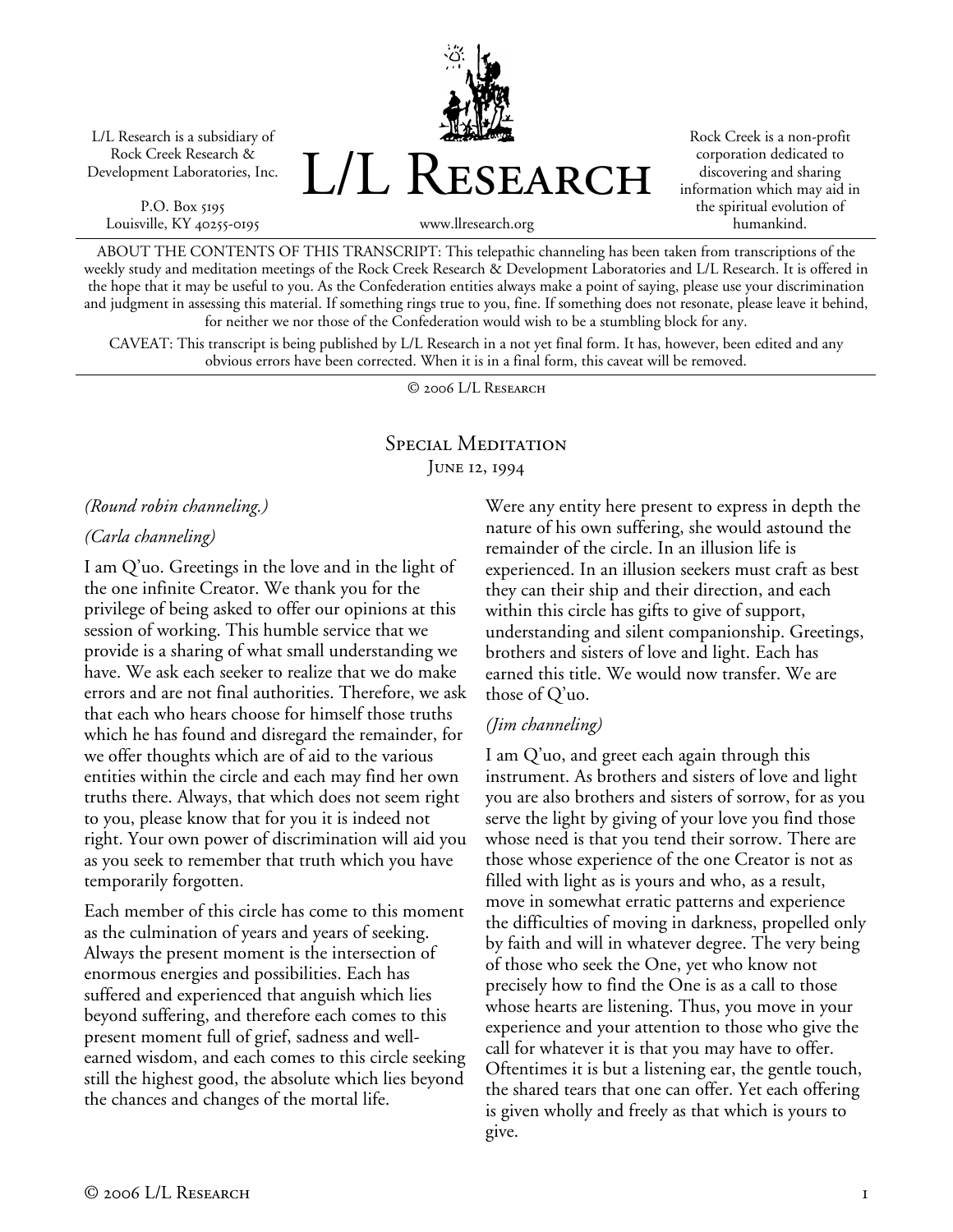L/L Research is a subsidiary of Rock Creek Research & Development Laboratories, Inc.

P.O. Box 5195 Louisville, KY 40255-0195 L/L Research

Rock Creek is a non-profit corporation dedicated to discovering and sharing information which may aid in the spiritual evolution of humankind.

www.llresearch.org

ABOUT THE CONTENTS OF THIS TRANSCRIPT: This telepathic channeling has been taken from transcriptions of the weekly study and meditation meetings of the Rock Creek Research & Development Laboratories and L/L Research. It is offered in the hope that it may be useful to you. As the Confederation entities always make a point of saying, please use your discrimination and judgment in assessing this material. If something rings true to you, fine. If something does not resonate, please leave it behind, for neither we nor those of the Confederation would wish to be a stumbling block for any.

CAVEAT: This transcript is being published by L/L Research in a not yet final form. It has, however, been edited and any obvious errors have been corrected. When it is in a final form, this caveat will be removed.

© 2006 L/L Research

## Special Meditation JUNE 12, 1994

#### *(Round robin channeling.)*

#### *(Carla channeling)*

I am Q'uo. Greetings in the love and in the light of the one infinite Creator. We thank you for the privilege of being asked to offer our opinions at this session of working. This humble service that we provide is a sharing of what small understanding we have. We ask each seeker to realize that we do make errors and are not final authorities. Therefore, we ask that each who hears choose for himself those truths which he has found and disregard the remainder, for we offer thoughts which are of aid to the various entities within the circle and each may find her own truths there. Always, that which does not seem right to you, please know that for you it is indeed not right. Your own power of discrimination will aid you as you seek to remember that truth which you have temporarily forgotten.

Each member of this circle has come to this moment as the culmination of years and years of seeking. Always the present moment is the intersection of enormous energies and possibilities. Each has suffered and experienced that anguish which lies beyond suffering, and therefore each comes to this present moment full of grief, sadness and wellearned wisdom, and each comes to this circle seeking still the highest good, the absolute which lies beyond the chances and changes of the mortal life.

Were any entity here present to express in depth the nature of his own suffering, she would astound the remainder of the circle. In an illusion life is experienced. In an illusion seekers must craft as best they can their ship and their direction, and each within this circle has gifts to give of support, understanding and silent companionship. Greetings, brothers and sisters of love and light. Each has earned this title. We would now transfer. We are those of Q'uo.

### *(Jim channeling)*

I am Q'uo, and greet each again through this instrument. As brothers and sisters of love and light you are also brothers and sisters of sorrow, for as you serve the light by giving of your love you find those whose need is that you tend their sorrow. There are those whose experience of the one Creator is not as filled with light as is yours and who, as a result, move in somewhat erratic patterns and experience the difficulties of moving in darkness, propelled only by faith and will in whatever degree. The very being of those who seek the One, yet who know not precisely how to find the One is as a call to those whose hearts are listening. Thus, you move in your experience and your attention to those who give the call for whatever it is that you may have to offer. Oftentimes it is but a listening ear, the gentle touch, the shared tears that one can offer. Yet each offering is given wholly and freely as that which is yours to give.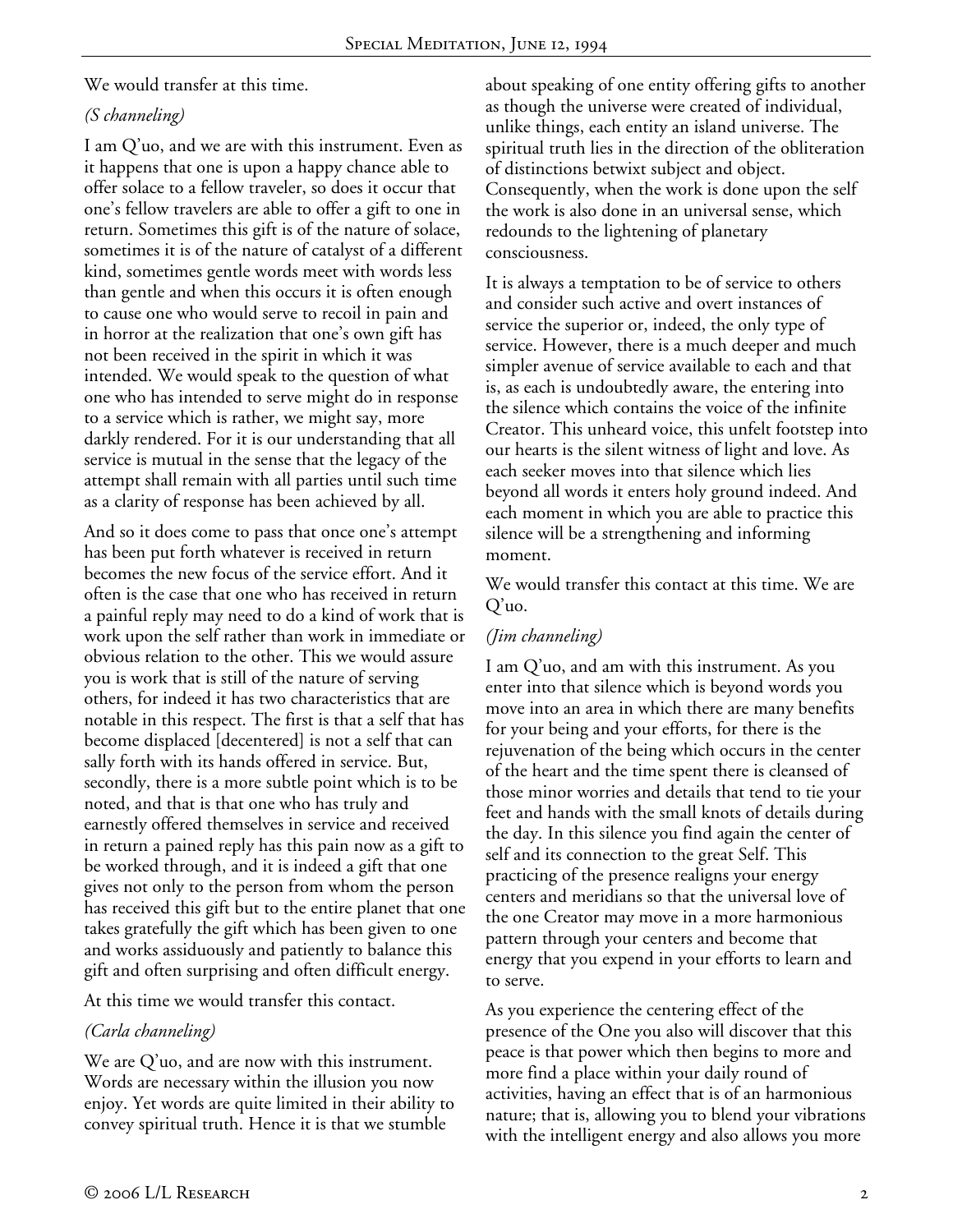We would transfer at this time.

## *(S channeling)*

I am Q'uo, and we are with this instrument. Even as it happens that one is upon a happy chance able to offer solace to a fellow traveler, so does it occur that one's fellow travelers are able to offer a gift to one in return. Sometimes this gift is of the nature of solace, sometimes it is of the nature of catalyst of a different kind, sometimes gentle words meet with words less than gentle and when this occurs it is often enough to cause one who would serve to recoil in pain and in horror at the realization that one's own gift has not been received in the spirit in which it was intended. We would speak to the question of what one who has intended to serve might do in response to a service which is rather, we might say, more darkly rendered. For it is our understanding that all service is mutual in the sense that the legacy of the attempt shall remain with all parties until such time as a clarity of response has been achieved by all.

And so it does come to pass that once one's attempt has been put forth whatever is received in return becomes the new focus of the service effort. And it often is the case that one who has received in return a painful reply may need to do a kind of work that is work upon the self rather than work in immediate or obvious relation to the other. This we would assure you is work that is still of the nature of serving others, for indeed it has two characteristics that are notable in this respect. The first is that a self that has become displaced [decentered] is not a self that can sally forth with its hands offered in service. But, secondly, there is a more subtle point which is to be noted, and that is that one who has truly and earnestly offered themselves in service and received in return a pained reply has this pain now as a gift to be worked through, and it is indeed a gift that one gives not only to the person from whom the person has received this gift but to the entire planet that one takes gratefully the gift which has been given to one and works assiduously and patiently to balance this gift and often surprising and often difficult energy.

At this time we would transfer this contact.

# *(Carla channeling)*

We are Q'uo, and are now with this instrument. Words are necessary within the illusion you now enjoy. Yet words are quite limited in their ability to convey spiritual truth. Hence it is that we stumble

about speaking of one entity offering gifts to another as though the universe were created of individual, unlike things, each entity an island universe. The spiritual truth lies in the direction of the obliteration of distinctions betwixt subject and object. Consequently, when the work is done upon the self the work is also done in an universal sense, which redounds to the lightening of planetary consciousness.

It is always a temptation to be of service to others and consider such active and overt instances of service the superior or, indeed, the only type of service. However, there is a much deeper and much simpler avenue of service available to each and that is, as each is undoubtedly aware, the entering into the silence which contains the voice of the infinite Creator. This unheard voice, this unfelt footstep into our hearts is the silent witness of light and love. As each seeker moves into that silence which lies beyond all words it enters holy ground indeed. And each moment in which you are able to practice this silence will be a strengthening and informing moment.

We would transfer this contact at this time. We are Q'uo.

### *(Jim channeling)*

I am Q'uo, and am with this instrument. As you enter into that silence which is beyond words you move into an area in which there are many benefits for your being and your efforts, for there is the rejuvenation of the being which occurs in the center of the heart and the time spent there is cleansed of those minor worries and details that tend to tie your feet and hands with the small knots of details during the day. In this silence you find again the center of self and its connection to the great Self. This practicing of the presence realigns your energy centers and meridians so that the universal love of the one Creator may move in a more harmonious pattern through your centers and become that energy that you expend in your efforts to learn and to serve.

As you experience the centering effect of the presence of the One you also will discover that this peace is that power which then begins to more and more find a place within your daily round of activities, having an effect that is of an harmonious nature; that is, allowing you to blend your vibrations with the intelligent energy and also allows you more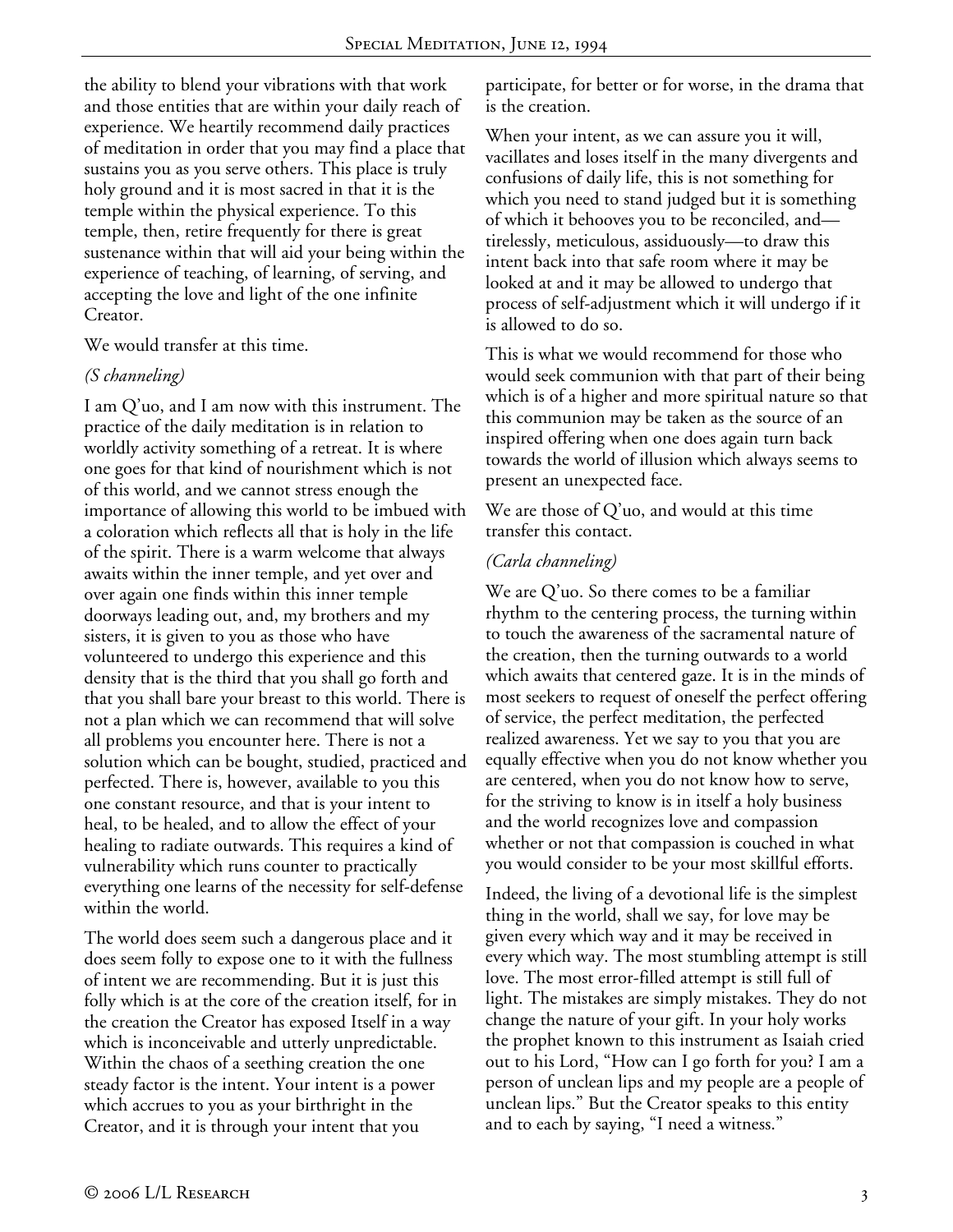the ability to blend your vibrations with that work and those entities that are within your daily reach of experience. We heartily recommend daily practices of meditation in order that you may find a place that sustains you as you serve others. This place is truly holy ground and it is most sacred in that it is the temple within the physical experience. To this temple, then, retire frequently for there is great sustenance within that will aid your being within the experience of teaching, of learning, of serving, and accepting the love and light of the one infinite Creator.

We would transfer at this time.

#### *(S channeling)*

I am Q'uo, and I am now with this instrument. The practice of the daily meditation is in relation to worldly activity something of a retreat. It is where one goes for that kind of nourishment which is not of this world, and we cannot stress enough the importance of allowing this world to be imbued with a coloration which reflects all that is holy in the life of the spirit. There is a warm welcome that always awaits within the inner temple, and yet over and over again one finds within this inner temple doorways leading out, and, my brothers and my sisters, it is given to you as those who have volunteered to undergo this experience and this density that is the third that you shall go forth and that you shall bare your breast to this world. There is not a plan which we can recommend that will solve all problems you encounter here. There is not a solution which can be bought, studied, practiced and perfected. There is, however, available to you this one constant resource, and that is your intent to heal, to be healed, and to allow the effect of your healing to radiate outwards. This requires a kind of vulnerability which runs counter to practically everything one learns of the necessity for self-defense within the world.

The world does seem such a dangerous place and it does seem folly to expose one to it with the fullness of intent we are recommending. But it is just this folly which is at the core of the creation itself, for in the creation the Creator has exposed Itself in a way which is inconceivable and utterly unpredictable. Within the chaos of a seething creation the one steady factor is the intent. Your intent is a power which accrues to you as your birthright in the Creator, and it is through your intent that you

participate, for better or for worse, in the drama that is the creation.

When your intent, as we can assure you it will, vacillates and loses itself in the many divergents and confusions of daily life, this is not something for which you need to stand judged but it is something of which it behooves you to be reconciled, and tirelessly, meticulous, assiduously—to draw this intent back into that safe room where it may be looked at and it may be allowed to undergo that process of self-adjustment which it will undergo if it is allowed to do so.

This is what we would recommend for those who would seek communion with that part of their being which is of a higher and more spiritual nature so that this communion may be taken as the source of an inspired offering when one does again turn back towards the world of illusion which always seems to present an unexpected face.

We are those of Q'uo, and would at this time transfer this contact.

#### *(Carla channeling)*

We are Q'uo. So there comes to be a familiar rhythm to the centering process, the turning within to touch the awareness of the sacramental nature of the creation, then the turning outwards to a world which awaits that centered gaze. It is in the minds of most seekers to request of oneself the perfect offering of service, the perfect meditation, the perfected realized awareness. Yet we say to you that you are equally effective when you do not know whether you are centered, when you do not know how to serve, for the striving to know is in itself a holy business and the world recognizes love and compassion whether or not that compassion is couched in what you would consider to be your most skillful efforts.

Indeed, the living of a devotional life is the simplest thing in the world, shall we say, for love may be given every which way and it may be received in every which way. The most stumbling attempt is still love. The most error-filled attempt is still full of light. The mistakes are simply mistakes. They do not change the nature of your gift. In your holy works the prophet known to this instrument as Isaiah cried out to his Lord, "How can I go forth for you? I am a person of unclean lips and my people are a people of unclean lips." But the Creator speaks to this entity and to each by saying, "I need a witness."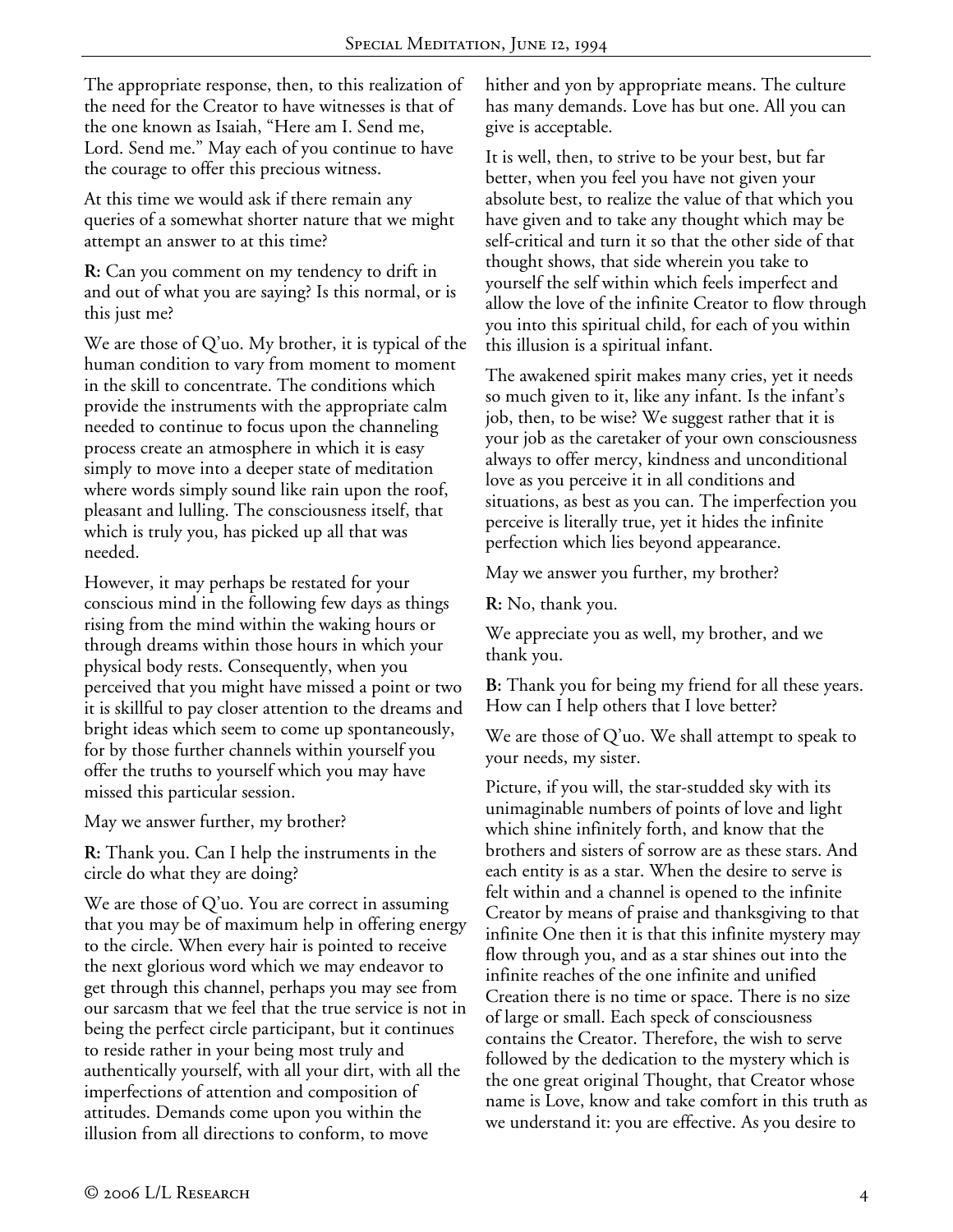The appropriate response, then, to this realization of the need for the Creator to have witnesses is that of the one known as Isaiah, "Here am I. Send me, Lord. Send me." May each of you continue to have the courage to offer this precious witness.

At this time we would ask if there remain any queries of a somewhat shorter nature that we might attempt an answer to at this time?

**R:** Can you comment on my tendency to drift in and out of what you are saying? Is this normal, or is this just me?

We are those of Q'uo. My brother, it is typical of the human condition to vary from moment to moment in the skill to concentrate. The conditions which provide the instruments with the appropriate calm needed to continue to focus upon the channeling process create an atmosphere in which it is easy simply to move into a deeper state of meditation where words simply sound like rain upon the roof, pleasant and lulling. The consciousness itself, that which is truly you, has picked up all that was needed.

However, it may perhaps be restated for your conscious mind in the following few days as things rising from the mind within the waking hours or through dreams within those hours in which your physical body rests. Consequently, when you perceived that you might have missed a point or two it is skillful to pay closer attention to the dreams and bright ideas which seem to come up spontaneously, for by those further channels within yourself you offer the truths to yourself which you may have missed this particular session.

May we answer further, my brother?

**R:** Thank you. Can I help the instruments in the circle do what they are doing?

We are those of Q'uo. You are correct in assuming that you may be of maximum help in offering energy to the circle. When every hair is pointed to receive the next glorious word which we may endeavor to get through this channel, perhaps you may see from our sarcasm that we feel that the true service is not in being the perfect circle participant, but it continues to reside rather in your being most truly and authentically yourself, with all your dirt, with all the imperfections of attention and composition of attitudes. Demands come upon you within the illusion from all directions to conform, to move

hither and yon by appropriate means. The culture has many demands. Love has but one. All you can give is acceptable.

It is well, then, to strive to be your best, but far better, when you feel you have not given your absolute best, to realize the value of that which you have given and to take any thought which may be self-critical and turn it so that the other side of that thought shows, that side wherein you take to yourself the self within which feels imperfect and allow the love of the infinite Creator to flow through you into this spiritual child, for each of you within this illusion is a spiritual infant.

The awakened spirit makes many cries, yet it needs so much given to it, like any infant. Is the infant's job, then, to be wise? We suggest rather that it is your job as the caretaker of your own consciousness always to offer mercy, kindness and unconditional love as you perceive it in all conditions and situations, as best as you can. The imperfection you perceive is literally true, yet it hides the infinite perfection which lies beyond appearance.

May we answer you further, my brother?

**R:** No, thank you.

We appreciate you as well, my brother, and we thank you.

**B:** Thank you for being my friend for all these years. How can I help others that I love better?

We are those of Q'uo. We shall attempt to speak to your needs, my sister.

Picture, if you will, the star-studded sky with its unimaginable numbers of points of love and light which shine infinitely forth, and know that the brothers and sisters of sorrow are as these stars. And each entity is as a star. When the desire to serve is felt within and a channel is opened to the infinite Creator by means of praise and thanksgiving to that infinite One then it is that this infinite mystery may flow through you, and as a star shines out into the infinite reaches of the one infinite and unified Creation there is no time or space. There is no size of large or small. Each speck of consciousness contains the Creator. Therefore, the wish to serve followed by the dedication to the mystery which is the one great original Thought, that Creator whose name is Love, know and take comfort in this truth as we understand it: you are effective. As you desire to